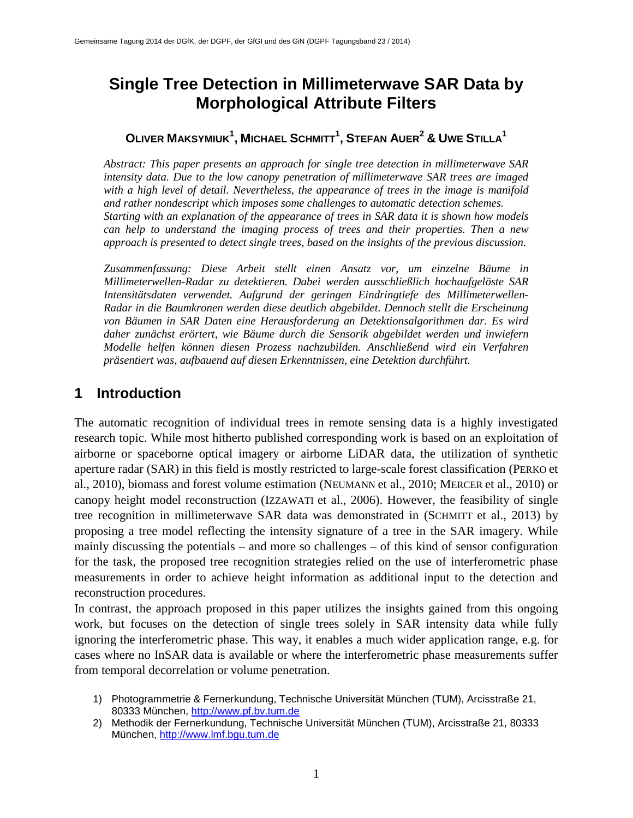# **Single Tree Detection in Millimeterwave SAR Data by Morphological Attribute Filters**

### **OLIVER MAKSYMIUK<sup>1</sup> , MICHAEL SCHMITT1 , STEFAN AUER2 & UWE STILLA1**

*Abstract: This paper presents an approach for single tree detection in millimeterwave SAR intensity data. Due to the low canopy penetration of millimeterwave SAR trees are imaged with a high level of detail. Nevertheless, the appearance of trees in the image is manifold and rather nondescript which imposes some challenges to automatic detection schemes. Starting with an explanation of the appearance of trees in SAR data it is shown how models can help to understand the imaging process of trees and their properties. Then a new approach is presented to detect single trees, based on the insights of the previous discussion.*

*Zusammenfassung: Diese Arbeit stellt einen Ansatz vor, um einzelne Bäume in Millimeterwellen-Radar zu detektieren. Dabei werden ausschließlich hochaufgelöste SAR Intensitätsdaten verwendet. Aufgrund der geringen Eindringtiefe des Millimeterwellen-Radar in die Baumkronen werden diese deutlich abgebildet. Dennoch stellt die Erscheinung von Bäumen in SAR Daten eine Herausforderung an Detektionsalgorithmen dar. Es wird daher zunächst erörtert, wie Bäume durch die Sensorik abgebildet werden und inwiefern Modelle helfen können diesen Prozess nachzubilden. Anschließend wird ein Verfahren präsentiert was, aufbauend auf diesen Erkenntnissen, eine Detektion durchführt.*

### **1 Introduction**

The automatic recognition of individual trees in remote sensing data is a highly investigated research topic. While most hitherto published corresponding work is based on an exploitation of airborne or spaceborne optical imagery or airborne LiDAR data, the utilization of synthetic aperture radar (SAR) in this field is mostly restricted to large-scale forest classification (PERKO et al., 2010), biomass and forest volume estimation (NEUMANN et al., 2010; MERCER et al., 2010) or canopy height model reconstruction (IZZAWATI et al., 2006). However, the feasibility of single tree recognition in millimeterwave SAR data was demonstrated in (SCHMITT et al., 2013) by proposing a tree model reflecting the intensity signature of a tree in the SAR imagery. While mainly discussing the potentials – and more so challenges – of this kind of sensor configuration for the task, the proposed tree recognition strategies relied on the use of interferometric phase measurements in order to achieve height information as additional input to the detection and reconstruction procedures.

In contrast, the approach proposed in this paper utilizes the insights gained from this ongoing work, but focuses on the detection of single trees solely in SAR intensity data while fully ignoring the interferometric phase. This way, it enables a much wider application range, e.g. for cases where no InSAR data is available or where the interferometric phase measurements suffer from temporal decorrelation or volume penetration.

- 1) Photogrammetrie & Fernerkundung, Technische Universität München (TUM), Arcisstraße 21, 80333 München, [http://www.pf.bv.tum.de](http://www.pf.bv.tum.de/)
- 2) Methodik der Fernerkundung, Technische Universität München (TUM), Arcisstraße 21, 80333 München, [http://www.lmf.bgu.tum.de](http://www.lmf.bgu.tum.de/)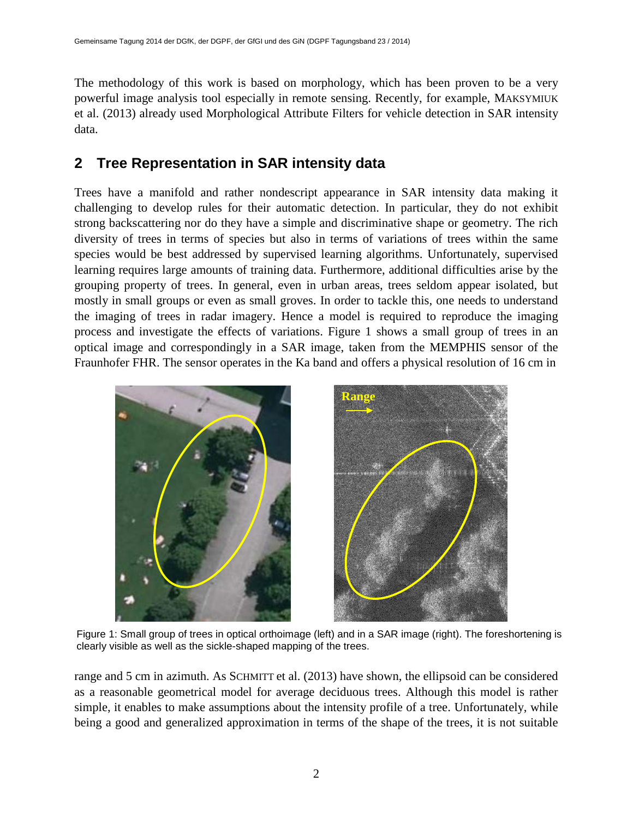The methodology of this work is based on morphology, which has been proven to be a very powerful image analysis tool especially in remote sensing. Recently, for example, MAKSYMIUK et al. (2013) already used Morphological Attribute Filters for vehicle detection in SAR intensity data.

## **2 Tree Representation in SAR intensity data**

Trees have a manifold and rather nondescript appearance in SAR intensity data making it challenging to develop rules for their automatic detection. In particular, they do not exhibit strong backscattering nor do they have a simple and discriminative shape or geometry. The rich diversity of trees in terms of species but also in terms of variations of trees within the same species would be best addressed by supervised learning algorithms. Unfortunately, supervised learning requires large amounts of training data. Furthermore, additional difficulties arise by the grouping property of trees. In general, even in urban areas, trees seldom appear isolated, but mostly in small groups or even as small groves. In order to tackle this, one needs to understand the imaging of trees in radar imagery. Hence a model is required to reproduce the imaging process and investigate the effects of variations. Figure 1 shows a small group of trees in an optical image and correspondingly in a SAR image, taken from the MEMPHIS sensor of the Fraunhofer FHR. The sensor operates in the Ka band and offers a physical resolution of 16 cm in



Figure 1: Small group of trees in optical orthoimage (left) and in a SAR image (right). The foreshortening is clearly visible as well as the sickle-shaped mapping of the trees.

range and 5 cm in azimuth. As SCHMITT et al. (2013) have shown, the ellipsoid can be considered as a reasonable geometrical model for average deciduous trees. Although this model is rather simple, it enables to make assumptions about the intensity profile of a tree. Unfortunately, while being a good and generalized approximation in terms of the shape of the trees, it is not suitable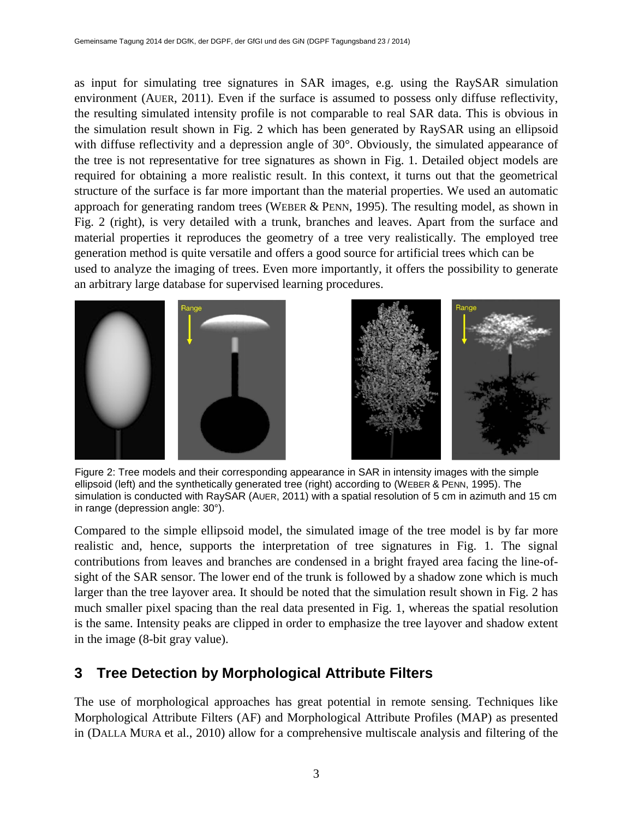as input for simulating tree signatures in SAR images, e.g. using the RaySAR simulation environment (AUER, 2011). Even if the surface is assumed to possess only diffuse reflectivity, the resulting simulated intensity profile is not comparable to real SAR data. This is obvious in the simulation result shown in Fig. 2 which has been generated by RaySAR using an ellipsoid with diffuse reflectivity and a depression angle of 30°. Obviously, the simulated appearance of the tree is not representative for tree signatures as shown in Fig. 1. Detailed object models are required for obtaining a more realistic result. In this context, it turns out that the geometrical structure of the surface is far more important than the material properties. We used an automatic approach for generating random trees (WEBER & PENN, 1995). The resulting model, as shown in Fig. 2 (right), is very detailed with a trunk, branches and leaves. Apart from the surface and material properties it reproduces the geometry of a tree very realistically. The employed tree generation method is quite versatile and offers a good source for artificial trees which can be used to analyze the imaging of trees. Even more importantly, it offers the possibility to generate an arbitrary large database for supervised learning procedures.



Figure 2: Tree models and their corresponding appearance in SAR in intensity images with the simple ellipsoid (left) and the synthetically generated tree (right) according to (WEBER & PENN, 1995). The simulation is conducted with RaySAR (AUER, 2011) with a spatial resolution of 5 cm in azimuth and 15 cm in range (depression angle: 30°).

Compared to the simple ellipsoid model, the simulated image of the tree model is by far more realistic and, hence, supports the interpretation of tree signatures in Fig. 1. The signal contributions from leaves and branches are condensed in a bright frayed area facing the line-ofsight of the SAR sensor. The lower end of the trunk is followed by a shadow zone which is much larger than the tree layover area. It should be noted that the simulation result shown in Fig. 2 has much smaller pixel spacing than the real data presented in Fig. 1, whereas the spatial resolution is the same. Intensity peaks are clipped in order to emphasize the tree layover and shadow extent in the image (8-bit gray value).

## **3 Tree Detection by Morphological Attribute Filters**

The use of morphological approaches has great potential in remote sensing. Techniques like Morphological Attribute Filters (AF) and Morphological Attribute Profiles (MAP) as presented in (DALLA MURA et al., 2010) allow for a comprehensive multiscale analysis and filtering of the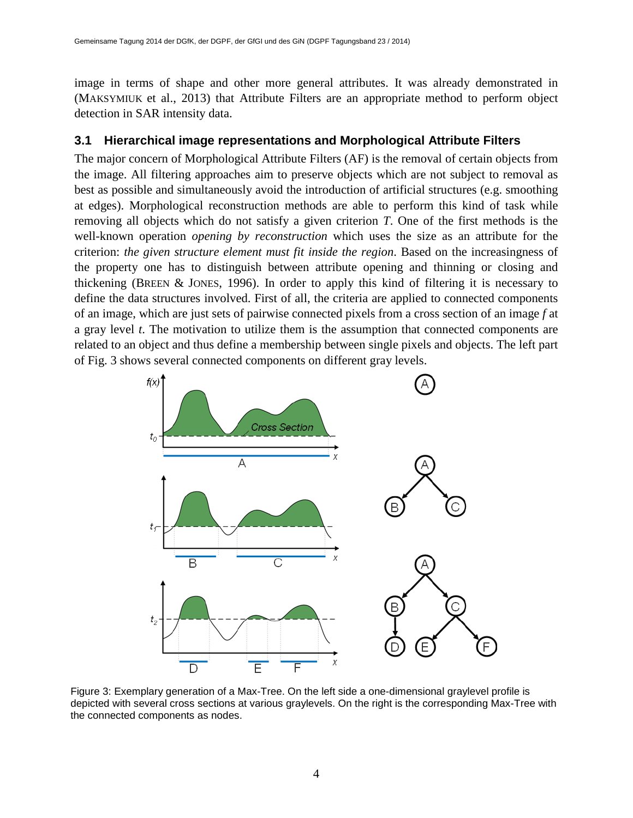image in terms of shape and other more general attributes. It was already demonstrated in (MAKSYMIUK et al., 2013) that Attribute Filters are an appropriate method to perform object detection in SAR intensity data.

#### **3.1 Hierarchical image representations and Morphological Attribute Filters**

The major concern of Morphological Attribute Filters (AF) is the removal of certain objects from the image. All filtering approaches aim to preserve objects which are not subject to removal as best as possible and simultaneously avoid the introduction of artificial structures (e.g. smoothing at edges). Morphological reconstruction methods are able to perform this kind of task while removing all objects which do not satisfy a given criterion *T*. One of the first methods is the well-known operation *opening by reconstruction* which uses the size as an attribute for the criterion: *the given structure element must fit inside the region*. Based on the increasingness of the property one has to distinguish between attribute opening and thinning or closing and thickening (BREEN & JONES, 1996). In order to apply this kind of filtering it is necessary to define the data structures involved. First of all, the criteria are applied to connected components of an image, which are just sets of pairwise connected pixels from a cross section of an image *f* at a gray level *t*. The motivation to utilize them is the assumption that connected components are related to an object and thus define a membership between single pixels and objects. The left part of Fig. 3 shows several connected components on different gray levels.



Figure 3: Exemplary generation of a Max-Tree. On the left side a one-dimensional graylevel profile is depicted with several cross sections at various graylevels. On the right is the corresponding Max-Tree with the connected components as nodes.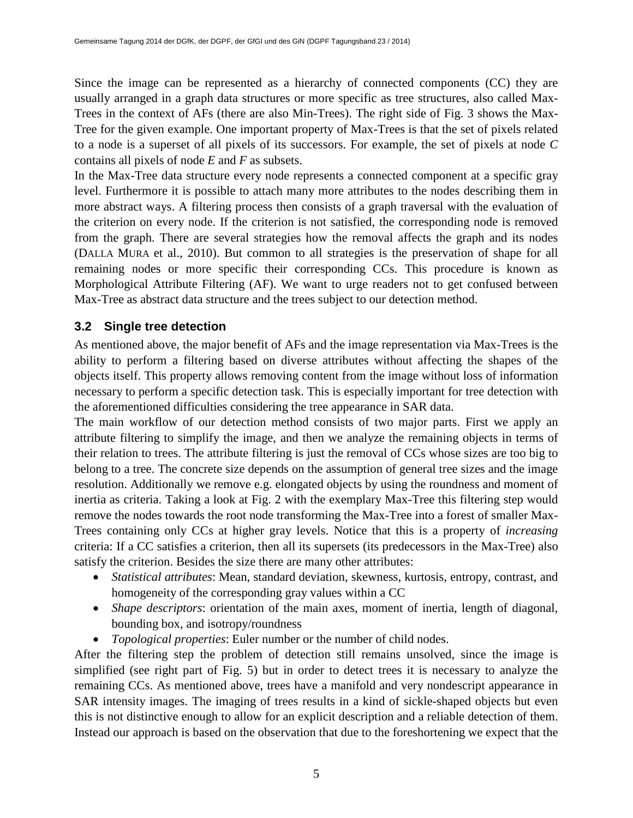Since the image can be represented as a hierarchy of connected components (CC) they are usually arranged in a graph data structures or more specific as tree structures, also called Max-Trees in the context of AFs (there are also Min-Trees). The right side of Fig. 3 shows the Max-Tree for the given example. One important property of Max-Trees is that the set of pixels related to a node is a superset of all pixels of its successors. For example, the set of pixels at node *C* contains all pixels of node *E* and *F* as subsets.

In the Max-Tree data structure every node represents a connected component at a specific gray level. Furthermore it is possible to attach many more attributes to the nodes describing them in more abstract ways. A filtering process then consists of a graph traversal with the evaluation of the criterion on every node. If the criterion is not satisfied, the corresponding node is removed from the graph. There are several strategies how the removal affects the graph and its nodes (DALLA MURA et al., 2010). But common to all strategies is the preservation of shape for all remaining nodes or more specific their corresponding CCs. This procedure is known as Morphological Attribute Filtering (AF). We want to urge readers not to get confused between Max-Tree as abstract data structure and the trees subject to our detection method.

#### **3.2 Single tree detection**

As mentioned above, the major benefit of AFs and the image representation via Max-Trees is the ability to perform a filtering based on diverse attributes without affecting the shapes of the objects itself. This property allows removing content from the image without loss of information necessary to perform a specific detection task. This is especially important for tree detection with the aforementioned difficulties considering the tree appearance in SAR data.

The main workflow of our detection method consists of two major parts. First we apply an attribute filtering to simplify the image, and then we analyze the remaining objects in terms of their relation to trees. The attribute filtering is just the removal of CCs whose sizes are too big to belong to a tree. The concrete size depends on the assumption of general tree sizes and the image resolution. Additionally we remove e.g. elongated objects by using the roundness and moment of inertia as criteria. Taking a look at Fig. 2 with the exemplary Max-Tree this filtering step would remove the nodes towards the root node transforming the Max-Tree into a forest of smaller Max-Trees containing only CCs at higher gray levels. Notice that this is a property of *increasing* criteria: If a CC satisfies a criterion, then all its supersets (its predecessors in the Max-Tree) also satisfy the criterion. Besides the size there are many other attributes:

- *Statistical attributes*: Mean, standard deviation, skewness, kurtosis, entropy, contrast, and homogeneity of the corresponding gray values within a CC
- *Shape descriptors*: orientation of the main axes, moment of inertia, length of diagonal, bounding box, and isotropy/roundness
- *Topological properties*: Euler number or the number of child nodes.

After the filtering step the problem of detection still remains unsolved, since the image is simplified (see right part of Fig. 5) but in order to detect trees it is necessary to analyze the remaining CCs. As mentioned above, trees have a manifold and very nondescript appearance in SAR intensity images. The imaging of trees results in a kind of sickle-shaped objects but even this is not distinctive enough to allow for an explicit description and a reliable detection of them. Instead our approach is based on the observation that due to the foreshortening we expect that the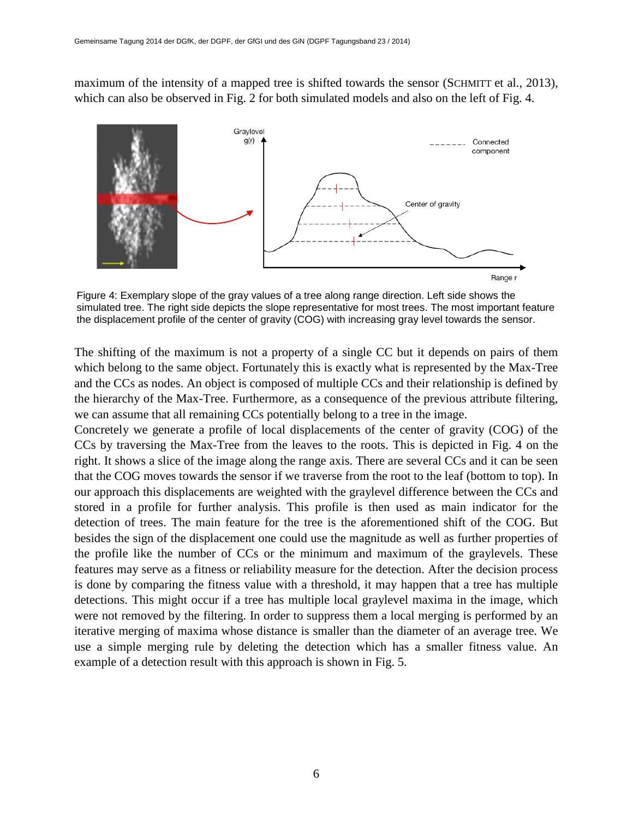maximum of the intensity of a mapped tree is shifted towards the sensor (SCHMITT et al., 2013), which can also be observed in Fig. 2 for both simulated models and also on the left of Fig. 4.



Figure 4: Exemplary slope of the gray values of a tree along range direction. Left side shows the simulated tree. The right side depicts the slope representative for most trees. The most important feature the displacement profile of the center of gravity (COG) with increasing gray level towards the sensor.

The shifting of the maximum is not a property of a single CC but it depends on pairs of them which belong to the same object. Fortunately this is exactly what is represented by the Max-Tree and the CCs as nodes. An object is composed of multiple CCs and their relationship is defined by the hierarchy of the Max-Tree. Furthermore, as a consequence of the previous attribute filtering, we can assume that all remaining CCs potentially belong to a tree in the image.

Concretely we generate a profile of local displacements of the center of gravity (COG) of the CCs by traversing the Max-Tree from the leaves to the roots. This is depicted in Fig. 4 on the right. It shows a slice of the image along the range axis. There are several CCs and it can be seen that the COG moves towards the sensor if we traverse from the root to the leaf (bottom to top). In our approach this displacements are weighted with the graylevel difference between the CCs and stored in a profile for further analysis. This profile is then used as main indicator for the detection of trees. The main feature for the tree is the aforementioned shift of the COG. But besides the sign of the displacement one could use the magnitude as well as further properties of the profile like the number of CCs or the minimum and maximum of the graylevels. These features may serve as a fitness or reliability measure for the detection. After the decision process is done by comparing the fitness value with a threshold, it may happen that a tree has multiple detections. This might occur if a tree has multiple local graylevel maxima in the image, which were not removed by the filtering. In order to suppress them a local merging is performed by an iterative merging of maxima whose distance is smaller than the diameter of an average tree. We use a simple merging rule by deleting the detection which has a smaller fitness value. An example of a detection result with this approach is shown in Fig. 5.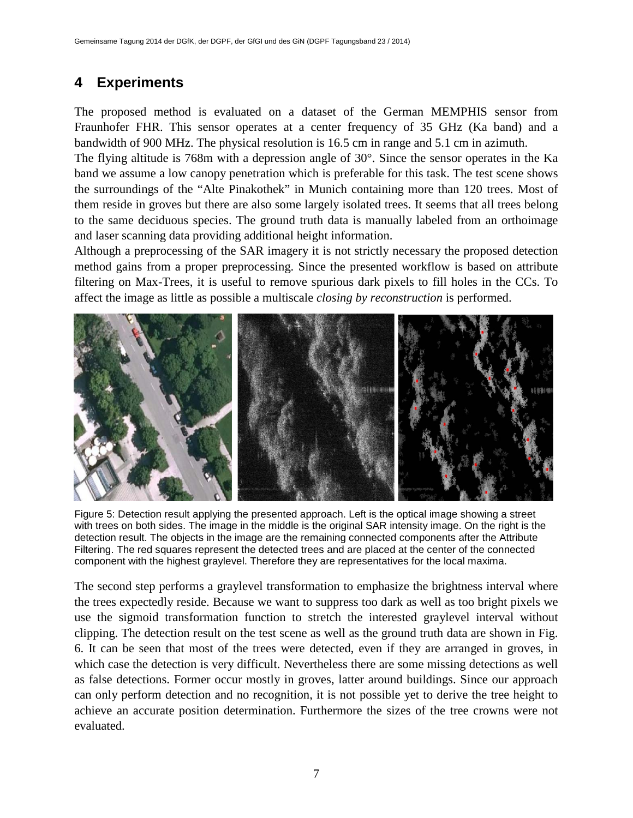## **4 Experiments**

The proposed method is evaluated on a dataset of the German MEMPHIS sensor from Fraunhofer FHR. This sensor operates at a center frequency of 35 GHz (Ka band) and a bandwidth of 900 MHz. The physical resolution is 16.5 cm in range and 5.1 cm in azimuth.

The flying altitude is 768m with a depression angle of 30°. Since the sensor operates in the Ka band we assume a low canopy penetration which is preferable for this task. The test scene shows the surroundings of the "Alte Pinakothek" in Munich containing more than 120 trees. Most of them reside in groves but there are also some largely isolated trees. It seems that all trees belong to the same deciduous species. The ground truth data is manually labeled from an orthoimage and laser scanning data providing additional height information.

Although a preprocessing of the SAR imagery it is not strictly necessary the proposed detection method gains from a proper preprocessing. Since the presented workflow is based on attribute filtering on Max-Trees, it is useful to remove spurious dark pixels to fill holes in the CCs. To affect the image as little as possible a multiscale *closing by reconstruction* is performed.



Figure 5: Detection result applying the presented approach. Left is the optical image showing a street with trees on both sides. The image in the middle is the original SAR intensity image. On the right is the detection result. The objects in the image are the remaining connected components after the Attribute Filtering. The red squares represent the detected trees and are placed at the center of the connected component with the highest graylevel. Therefore they are representatives for the local maxima.

The second step performs a graylevel transformation to emphasize the brightness interval where the trees expectedly reside. Because we want to suppress too dark as well as too bright pixels we use the sigmoid transformation function to stretch the interested graylevel interval without clipping. The detection result on the test scene as well as the ground truth data are shown in Fig. 6. It can be seen that most of the trees were detected, even if they are arranged in groves, in which case the detection is very difficult. Nevertheless there are some missing detections as well as false detections. Former occur mostly in groves, latter around buildings. Since our approach can only perform detection and no recognition, it is not possible yet to derive the tree height to achieve an accurate position determination. Furthermore the sizes of the tree crowns were not evaluated.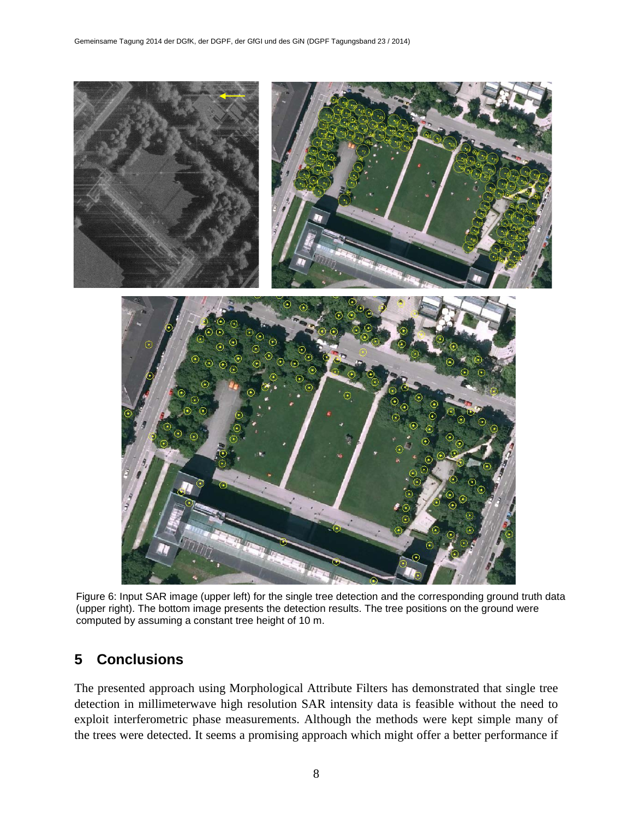

Figure 6: Input SAR image (upper left) for the single tree detection and the corresponding ground truth data (upper right). The bottom image presents the detection results. The tree positions on the ground were computed by assuming a constant tree height of 10 m.

### **5 Conclusions**

The presented approach using Morphological Attribute Filters has demonstrated that single tree detection in millimeterwave high resolution SAR intensity data is feasible without the need to exploit interferometric phase measurements. Although the methods were kept simple many of the trees were detected. It seems a promising approach which might offer a better performance if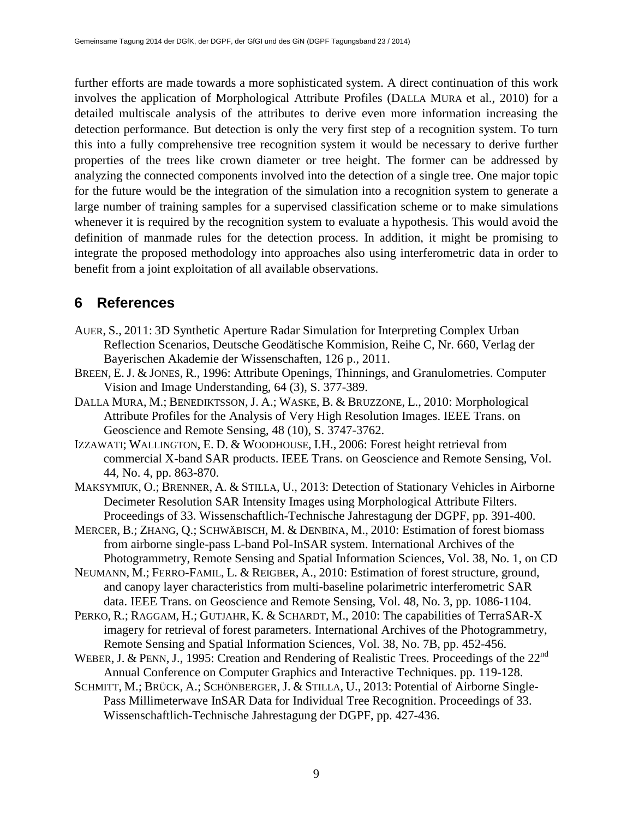further efforts are made towards a more sophisticated system. A direct continuation of this work involves the application of Morphological Attribute Profiles (DALLA MURA et al., 2010) for a detailed multiscale analysis of the attributes to derive even more information increasing the detection performance. But detection is only the very first step of a recognition system. To turn this into a fully comprehensive tree recognition system it would be necessary to derive further properties of the trees like crown diameter or tree height. The former can be addressed by analyzing the connected components involved into the detection of a single tree. One major topic for the future would be the integration of the simulation into a recognition system to generate a large number of training samples for a supervised classification scheme or to make simulations whenever it is required by the recognition system to evaluate a hypothesis. This would avoid the definition of manmade rules for the detection process. In addition, it might be promising to integrate the proposed methodology into approaches also using interferometric data in order to benefit from a joint exploitation of all available observations.

### **6 References**

- AUER, S., 2011: 3D Synthetic Aperture Radar Simulation for Interpreting Complex Urban Reflection Scenarios, Deutsche Geodätische Kommision, Reihe C, Nr. 660, Verlag der Bayerischen Akademie der Wissenschaften, 126 p., 2011.
- BREEN, E. J. & JONES, R., 1996: Attribute Openings, Thinnings, and Granulometries. Computer Vision and Image Understanding, 64 (3), S. 377-389.
- DALLA MURA, M.; BENEDIKTSSON, J. A.; WASKE, B. & BRUZZONE, L., 2010: Morphological Attribute Profiles for the Analysis of Very High Resolution Images. IEEE Trans. on Geoscience and Remote Sensing, 48 (10), S. 3747-3762.
- IZZAWATI; WALLINGTON, E. D. & WOODHOUSE, I.H., 2006: Forest height retrieval from commercial X-band SAR products. IEEE Trans. on Geoscience and Remote Sensing, Vol. 44, No. 4, pp. 863-870.
- MAKSYMIUK, O.; BRENNER, A. & STILLA, U., 2013: Detection of Stationary Vehicles in Airborne Decimeter Resolution SAR Intensity Images using Morphological Attribute Filters. Proceedings of 33. Wissenschaftlich-Technische Jahrestagung der DGPF, pp. 391-400.
- MERCER, B.; ZHANG, Q.; SCHWÄBISCH, M. & DENBINA, M., 2010: Estimation of forest biomass from airborne single-pass L-band Pol-InSAR system. International Archives of the Photogrammetry, Remote Sensing and Spatial Information Sciences, Vol. 38, No. 1, on CD
- NEUMANN, M.; FERRO-FAMIL, L. & REIGBER, A., 2010: Estimation of forest structure, ground, and canopy layer characteristics from multi-baseline polarimetric interferometric SAR data. IEEE Trans. on Geoscience and Remote Sensing, Vol. 48, No. 3, pp. 1086-1104.
- PERKO, R.; RAGGAM, H.; GUTJAHR, K. & SCHARDT, M., 2010: The capabilities of TerraSAR-X imagery for retrieval of forest parameters. International Archives of the Photogrammetry, Remote Sensing and Spatial Information Sciences, Vol. 38, No. 7B, pp. 452-456.
- WEBER, J. & PENN, J., 1995: Creation and Rendering of Realistic Trees. Proceedings of the 22<sup>nd</sup> Annual Conference on Computer Graphics and Interactive Techniques. pp. 119-128.
- SCHMITT, M.; BRÜCK, A.; SCHÖNBERGER, J. & STILLA, U., 2013: Potential of Airborne Single-Pass Millimeterwave InSAR Data for Individual Tree Recognition. Proceedings of 33. Wissenschaftlich-Technische Jahrestagung der DGPF, pp. 427-436.